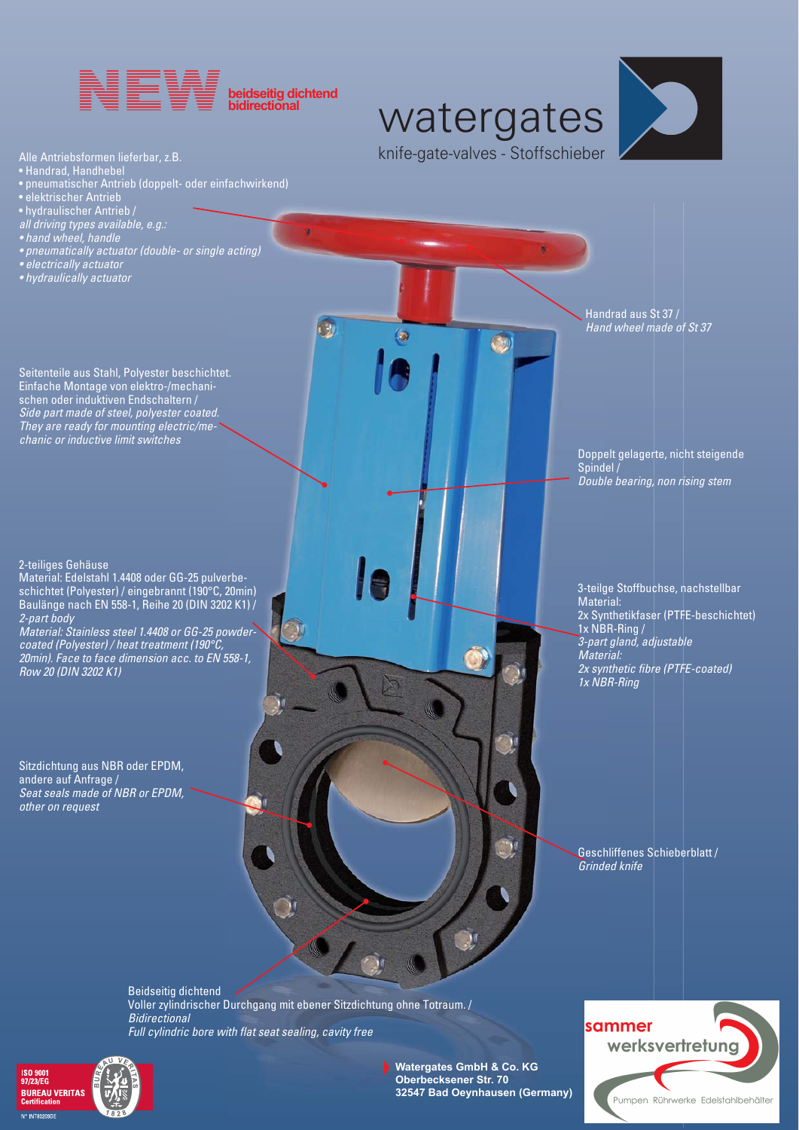

watergates knife-gate-valves - Stoffschieber

 $\left( \frac{d\mathbf{y}}{d\mathbf{y}}\right)$ 



Alle Antriebsformen lieferbar, z.B.

- Handrad, Handhebel
- pneumatischer Antrieb (doppelt- oder einfachwirkend)
- elektrischer Antrieb
- hydraulischer Antrieb /
- *all driving types available, e.g.:*
- *hand wheel, handle*
- *pneumatically actuator (double- or single acting)*
- *electrically actuator*
- *hydraulically actuator*

Handrad aus St 37 / *Hand wheel made of St 37*

Seitenteile aus Stahl, Polyester beschichtet. Einfache Montage von elektro-/mechanischen oder induktiven Endschaltern / *Side part made of steel, polyester coated. They are ready for mounting electric/mechanic or inductive limit switches*

2-teiliges Gehäuse

Material: Edelstahl 1.4408 oder GG-25 pulverbeschichtet (Polyester) / eingebrannt (190°C, 20min) Baulänge nach EN 558-1, Reihe 20 (DIN 3202 K1) / *2-part body* 

*Material: Stainless steel 1.4408 or GG-25 powdercoated (Polyester) / heat treatment (190°C, 20min). Face to face dimension acc. to EN 558-1, Row 20 (DIN 3202 K1)*

Sitzdichtung aus NBR oder EPDM, andere auf Anfrage / *Seat seals made of NBR or EPDM, other on request*

3-teilge Stoffbuchse, nachstellbar Material: 2x Synthetikfaser (PTFE-beschichtet)

Doppelt gelagerte, nicht steigende

*Double bearing, non rising stem*

Spindel /

1x NBR-Ring /  *3-part gland, adjustable Material: 2x synthetic fibre (PTFE-coated) 1x NBR-Ring*

Geschliffenes Schieberblatt / *Grinded knife*

Beidseitig dichtend Voller zylindrischer Durchgang mit ebener Sitzdichtung ohne Totraum. / *Bidirectional Full cylindric bore with flat seat sealing, cavity free*

・か

ෙ





**Watergates GmbH & Co. KG Oberbecksener Str. 70 32547 Bad Oeynhausen (Germany)**